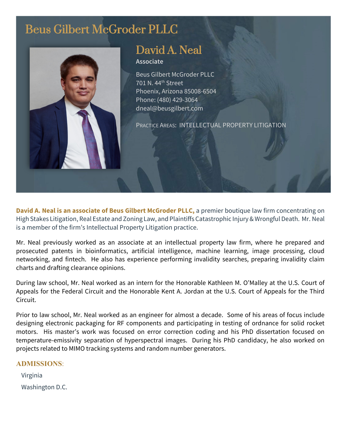# Beus Gilbert McGroder PLLC



# David A. Neal

**Associate**

Beus Gilbert McGroder PLLC 701 N. 44th Street Phoenix, Arizona 85008-6504 Phone: (480) 429-3064 dneal@beusgilbert.com

PRACTICE AREAS: INTELLECTUAL PROPERTY LITIGATION

**David A. Neal is an associate of Beus Gilbert McGroder PLLC,** a premier boutique law firm concentrating on High Stakes Litigation, Real Estate and Zoning Law, and Plaintiffs Catastrophic Injury & Wrongful Death. Mr. Neal is a member of the firm's Intellectual Property Litigation practice.

Mr. Neal previously worked as an associate at an intellectual property law firm, where he prepared and prosecuted patents in bioinformatics, artificial intelligence, machine learning, image processing, cloud networking, and fintech. He also has experience performing invalidity searches, preparing invalidity claim charts and drafting clearance opinions.

During law school, Mr. Neal worked as an intern for the Honorable Kathleen M. O'Malley at the U.S. Court of Appeals for the Federal Circuit and the Honorable Kent A. Jordan at the U.S. Court of Appeals for the Third Circuit.

Prior to law school, Mr. Neal worked as an engineer for almost a decade. Some of his areas of focus include designing electronic packaging for RF components and participating in testing of ordnance for solid rocket motors. His master's work was focused on error correction coding and his PhD dissertation focused on temperature-emissivity separation of hyperspectral images. During his PhD candidacy, he also worked on projects related to MIMO tracking systems and random number generators.

#### **ADMISSIONS**:

Virginia Washington D.C.